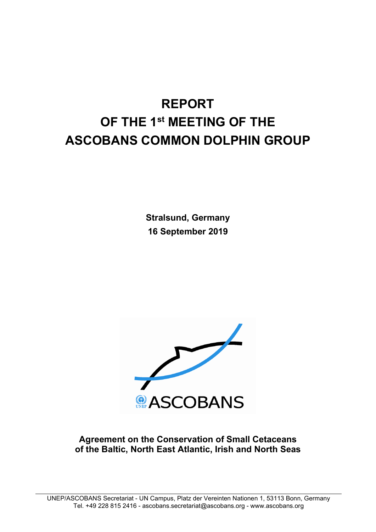# **REPORT OF THE 1st MEETING OF THE ASCOBANS COMMON DOLPHIN GROUP**

**Stralsund, Germany 16 September 2019**



**Agreement on the Conservation of Small Cetaceans of the Baltic, North East Atlantic, Irish and North Seas**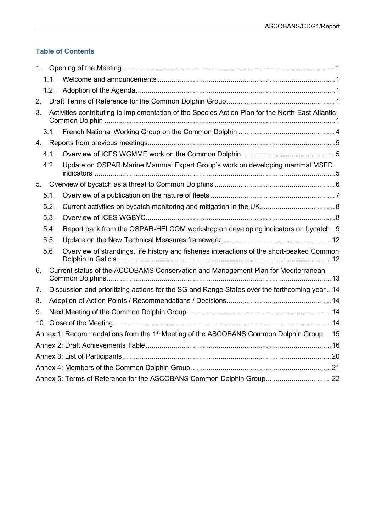## **Table of Contents**

| 1. |                                                                      |                                                                                                   |  |  |  |  |
|----|----------------------------------------------------------------------|---------------------------------------------------------------------------------------------------|--|--|--|--|
|    | $1.1$ .                                                              |                                                                                                   |  |  |  |  |
|    | 1.2.                                                                 |                                                                                                   |  |  |  |  |
| 2. |                                                                      |                                                                                                   |  |  |  |  |
| 3. |                                                                      | Activities contributing to implementation of the Species Action Plan for the North-East Atlantic  |  |  |  |  |
|    | 3.1.                                                                 |                                                                                                   |  |  |  |  |
|    |                                                                      |                                                                                                   |  |  |  |  |
|    | 4.1.                                                                 |                                                                                                   |  |  |  |  |
|    | 4.2.                                                                 | Update on OSPAR Marine Mammal Expert Group's work on developing mammal MSFD                       |  |  |  |  |
|    |                                                                      |                                                                                                   |  |  |  |  |
|    | 5.1.                                                                 |                                                                                                   |  |  |  |  |
|    | 5.2.                                                                 |                                                                                                   |  |  |  |  |
|    | 5.3.                                                                 |                                                                                                   |  |  |  |  |
|    | 5.4.                                                                 | Report back from the OSPAR-HELCOM workshop on developing indicators on bycatch .9                 |  |  |  |  |
|    | 5.5.                                                                 |                                                                                                   |  |  |  |  |
|    | 5.6.                                                                 | Overview of strandings, life history and fisheries interactions of the short-beaked Common        |  |  |  |  |
| 6. |                                                                      | Current status of the ACCOBAMS Conservation and Management Plan for Mediterranean                 |  |  |  |  |
| 7. |                                                                      | Discussion and prioritizing actions for the SG and Range States over the forthcoming year  14     |  |  |  |  |
| 8. |                                                                      |                                                                                                   |  |  |  |  |
| 9. |                                                                      |                                                                                                   |  |  |  |  |
|    |                                                                      |                                                                                                   |  |  |  |  |
|    |                                                                      | Annex 1: Recommendations from the 1 <sup>st</sup> Meeting of the ASCOBANS Common Dolphin Group 15 |  |  |  |  |
|    |                                                                      |                                                                                                   |  |  |  |  |
|    |                                                                      |                                                                                                   |  |  |  |  |
|    |                                                                      |                                                                                                   |  |  |  |  |
|    | Annex 5: Terms of Reference for the ASCOBANS Common Dolphin Group 22 |                                                                                                   |  |  |  |  |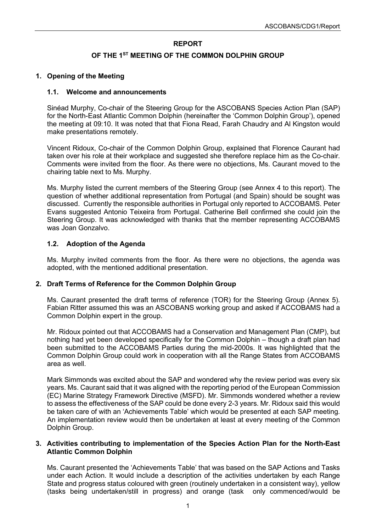## **REPORT**

## **OF THE 1ST MEETING OF THE COMMON DOLPHIN GROUP**

## <span id="page-2-0"></span>**1. Opening of the Meeting**

#### <span id="page-2-1"></span>**1.1. Welcome and announcements**

Sinéad Murphy, Co-chair of the Steering Group for the ASCOBANS Species Action Plan (SAP) for the North-East Atlantic Common Dolphin (hereinafter the 'Common Dolphin Group'), opened the meeting at 09:10. It was noted that that Fiona Read, Farah Chaudry and Al Kingston would make presentations remotely.

Vincent Ridoux, Co-chair of the Common Dolphin Group, explained that Florence Caurant had taken over his role at their workplace and suggested she therefore replace him as the Co-chair. Comments were invited from the floor. As there were no objections, Ms. Caurant moved to the chairing table next to Ms. Murphy.

Ms. Murphy listed the current members of the Steering Group (see Annex 4 to this report). The question of whether additional representation from Portugal (and Spain) should be sought was discussed. Currently the responsible authorities in Portugal only reported to ACCOBAMS. Peter Evans suggested Antonio Teixeira from Portugal. Catherine Bell confirmed she could join the Steering Group. It was acknowledged with thanks that the member representing ACCOBAMS was Joan Gonzalvo.

## <span id="page-2-2"></span>**1.2. Adoption of the Agenda**

Ms. Murphy invited comments from the floor. As there were no objections, the agenda was adopted, with the mentioned additional presentation.

#### <span id="page-2-3"></span>**2. Draft Terms of Reference for the Common Dolphin Group**

Ms. Caurant presented the draft terms of reference (TOR) for the Steering Group (Annex 5). Fabian Ritter assumed this was an ASCOBANS working group and asked if ACCOBAMS had a Common Dolphin expert in the group.

Mr. Ridoux pointed out that ACCOBAMS had a Conservation and Management Plan (CMP), but nothing had yet been developed specifically for the Common Dolphin – though a draft plan had been submitted to the ACCOBAMS Parties during the mid-2000s. It was highlighted that the Common Dolphin Group could work in cooperation with all the Range States from ACCOBAMS area as well.

Mark Simmonds was excited about the SAP and wondered why the review period was every six years. Ms. Caurant said that it was aligned with the reporting period of the European Commission (EC) Marine Strategy Framework Directive (MSFD). Mr. Simmonds wondered whether a review to assess the effectiveness of the SAP could be done every 2-3 years. Mr. Ridoux said this would be taken care of with an 'Achievements Table' which would be presented at each SAP meeting. An implementation review would then be undertaken at least at every meeting of the Common Dolphin Group.

#### <span id="page-2-4"></span>**3. Activities contributing to implementation of the Species Action Plan for the North-East Atlantic Common Dolphin**

Ms. Caurant presented the 'Achievements Table' that was based on the SAP Actions and Tasks under each Action. It would include a description of the activities undertaken by each Range State and progress status coloured with green (routinely undertaken in a consistent way), yellow (tasks being undertaken/still in progress) and orange (task only commenced/would be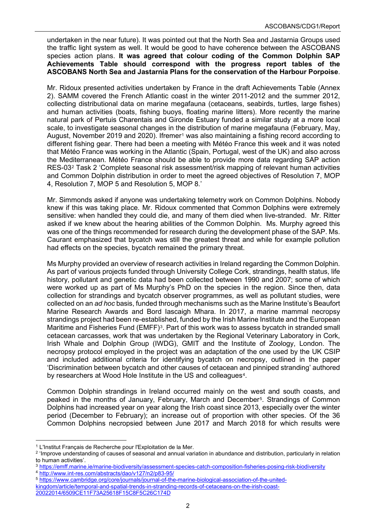undertaken in the near future). It was pointed out that the North Sea and Jastarnia Groups used the traffic light system as well. It would be good to have coherence between the ASCOBANS species action plans. **It was agreed that colour coding of the Common Dolphin SAP Achievements Table should correspond with the progress report tables of the ASCOBANS North Sea and Jastarnia Plans for the conservation of the Harbour Porpoise**.

Mr. Ridoux presented activities undertaken by France in the draft Achievements Table (Annex 2). SAMM covered the French Atlantic coast in the winter 2011-2012 and the summer 2012, collecting distributional data on marine megafauna (cetaceans, seabirds, turtles, large fishes) and human activities (boats, fishing buoys, floating marine litters). More recently the marine natural park of Pertuis Charentais and Gironde Estuary funded a similar study at a more local scale, to investigate seasonal changes in the distribution of marine megafauna (February, May, August, November 20[1](#page-3-0)9 and 2020). Ifremer<sup>1</sup> was also maintaining a fishing record according to different fishing gear. There had been a meeting with Météo France this week and it was noted that Météo France was working in the Atlantic (Spain, Portugal, west of the UK) and also across the Mediterranean. Météo France should be able to provide more data regarding SAP action RES-03[2](#page-3-1) Task 2 'Complete seasonal risk assessment/risk mapping of relevant human activities and Common Dolphin distribution in order to meet the agreed objectives of Resolution 7, MOP 4, Resolution 7, MOP 5 and Resolution 5, MOP 8.'

Mr. Simmonds asked if anyone was undertaking telemetry work on Common Dolphins. Nobody knew if this was taking place. Mr. Ridoux commented that Common Dolphins were extremely sensitive: when handled they could die, and many of them died when live-stranded. Mr. Ritter asked if we knew about the hearing abilities of the Common Dolphin. Ms. Murphy agreed this was one of the things recommended for research during the development phase of the SAP. Ms. Caurant emphasized that bycatch was still the greatest threat and while for example pollution had effects on the species, bycatch remained the primary threat.

Ms Murphy provided an overview of research activities in Ireland regarding the Common Dolphin. As part of various projects funded through University College Cork, strandings, health status, life history, pollutant and genetic data had been collected between 1990 and 2007; some of which were worked up as part of Ms Murphy's PhD on the species in the region. Since then, data collection for strandings and bycatch observer programmes, as well as pollutant studies, were collected on an *ad hoc* basis, funded through mechanisms such as the Marine Institute's Beaufort Marine Research Awards and Bord Iascaigh Mhara. In 2017, a marine mammal necropsy strandings project had been re-established, funded by the Irish Marine Institute and the European Maritime and Fisheries Fund (EMFF)<sup>[3](#page-3-2)</sup>. Part of this work was to assess bycatch in stranded small cetacean carcasses, work that was undertaken by the Regional Veterinary Laboratory in Cork, Irish Whale and Dolphin Group (IWDG), GMIT and the Institute of Zoology, London. The necropsy protocol employed in the project was an adaptation of the one used by the UK CSIP and included additional criteria for identifying bycatch on necropsy, outlined in the paper 'Discrimination between bycatch and other causes of cetacean and pinniped stranding' authored by researchers at Wood Hole Institute in the US and colleagues<sup>[4](#page-3-3)</sup>.

Common Dolphin strandings in Ireland occurred mainly on the west and south coasts, and peaked in the months of January, February, March and December[5](#page-3-4). Strandings of Common Dolphins had increased year on year along the Irish coast since 2013, especially over the winter period (December to February); an increase out of proportion with other species. Of the 36 Common Dolphins necropsied between June 2017 and March 2018 for which results were

<span id="page-3-0"></span><sup>1</sup> L'Institut Français de Recherche pour l'Exploitation de la Mer.

<span id="page-3-1"></span><sup>&</sup>lt;sup>2</sup> 'Improve understanding of causes of seasonal and annual variation in abundance and distribution, particularly in relation to human activities'.

<span id="page-3-3"></span><span id="page-3-2"></span><sup>3</sup> [https://emff.marine.ie/marine-biodiversity/assessment-species-catch-composition-fisheries-posing-risk-biodiversity](about:blank) <sup>4</sup> [http://www.int-res.com/abstracts/dao/v127/n2/p83-95/](about:blank)

<span id="page-3-4"></span><sup>5</sup> [https://www.cambridge.org/core/journals/journal-of-the-marine-biological-association-of-the-united](about:blank)[kingdom/article/temporal-and-spatial-trends-in-stranding-records-of-cetaceans-on-the-irish-coast-](about:blank)[20022014/6509CE11F73A25618F15C8F5C26C174D](about:blank)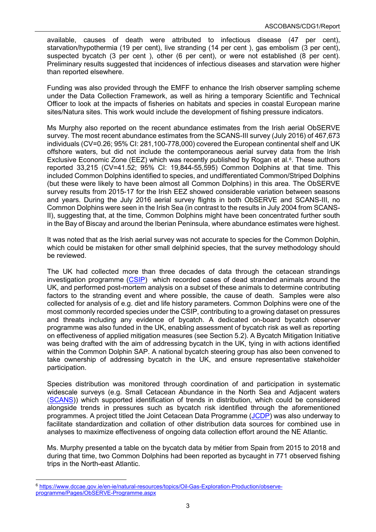available, causes of death were attributed to infectious disease (47 per cent), starvation/hypothermia (19 per cent), live stranding (14 per cent ), gas embolism (3 per cent), suspected bycatch (3 per cent ), other (6 per cent), or were not established (8 per cent). Preliminary results suggested that incidences of infectious diseases and starvation were higher than reported elsewhere.

Funding was also provided through the EMFF to enhance the Irish observer sampling scheme under the Data Collection Framework, as well as hiring a temporary Scientific and Technical Officer to look at the impacts of fisheries on habitats and species in coastal European marine sites/Natura sites. This work would include the development of fishing pressure indicators.

Ms Murphy also reported on the recent abundance estimates from the Irish aerial ObSERVE survey. The most recent abundance estimates from the SCANS-III survey (July 2016) of 467,673 individuals (CV=0.26; 95% CI: 281,100-778,000) covered the European continental shelf and UK offshore waters, but did not include the contemporaneous aerial survey data from the Irish Exclusive Economic Zone (EEZ) which was recently published by Rogan et al. $6$ . These authors reported 33,215 (CV=41.52; 95% CI: 19,844-55,595) Common Dolphins at that time. This included Common Dolphins identified to species, and undifferentiated Common/Striped Dolphins (but these were likely to have been almost all Common Dolphins) in this area. The ObSERVE survey results from 2015-17 for the Irish EEZ showed considerable variation between seasons and years. During the July 2016 aerial survey flights in both ObSERVE and SCANS-III, no Common Dolphins were seen in the Irish Sea (in contrast to the results in July 2004 from SCANS-II), suggesting that, at the time, Common Dolphins might have been concentrated further south in the Bay of Biscay and around the Iberian Peninsula, where abundance estimates were highest.

It was noted that as the Irish aerial survey was not accurate to species for the Common Dolphin, which could be mistaken for other small delphinid species, that the survey methodology should be reviewed.

The UK had collected more than three decades of data through the cetacean strandings investigation programme [\(CSIP\)](https://ukstrandings.org/) which recorded cases of dead stranded animals around the UK, and performed post-mortem analysis on a subset of these animals to determine contributing factors to the stranding event and where possible, the cause of death. Samples were also collected for analysis of e.g. diet and life history parameters. Common Dolphins were one of the most commonly recorded species under the CSIP, contributing to a growing dataset on pressures and threats including any evidence of bycatch. A dedicated on-board bycatch observer programme was also funded in the UK, enabling assessment of bycatch risk as well as reporting on effectiveness of applied mitigation measures (see Section 5.2). A Bycatch Mitigation Initiative was being drafted with the aim of addressing bycatch in the UK, tying in with actions identified within the Common Dolphin SAP. A national bycatch steering group has also been convened to take ownership of addressing bycatch in the UK, and ensure representative stakeholder participation.

Species distribution was monitored through coordination of and participation in systematic widescale surveys (e.g. Small Cetacean Abundance in the North Sea and Adjacent waters [\(SCANS\)](https://synergy.st-andrews.ac.uk/scans3/)) which supported identification of trends in distribution, which could be considered alongside trends in pressures such as bycatch risk identified through the aforementioned programmes. A project titled the Joint Cetacean Data Programme [\(JCDP\)](https://jncc.gov.uk/our-work/joint-cetacean-data-programme/) was also underway to facilitate standardization and collation of other distribution data sources for combined use in analyses to maximize effectiveness of ongoing data collection effort around the NE Atlantic.

Ms. Murphy presented a table on the bycatch data by métier from Spain from 2015 to 2018 and during that time, two Common Dolphins had been reported as bycaught in 771 observed fishing trips in the North-east Atlantic.

<span id="page-4-0"></span><sup>6</sup> [https://www.dccae.gov.ie/en-ie/natural-resources/topics/Oil-Gas-Exploration-Production/observe](about:blank)[programme/Pages/ObSERVE-Programme.aspx](about:blank)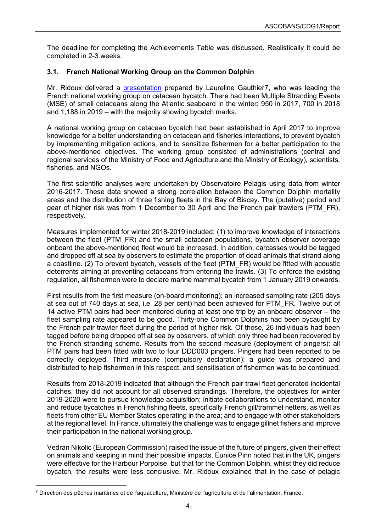The deadline for completing the Achievements Table was discussed. Realistically it could be completed in 2-3 weeks.

## <span id="page-5-0"></span>**3.1. French National Working Group on the Common Dolphin**

Mr. Ridoux delivered a [presentation](https://www.ascobans.org/en/document/small-cetacean-bycatch-bay-biscay) prepared by Laureline Gauthier[7](#page-5-1), who was leading the French national working group on cetacean bycatch. There had been Multiple Stranding Events (MSE) of small cetaceans along the Atlantic seaboard in the winter: 950 in 2017, 700 in 2018 and 1,188 in 2019 – with the majority showing bycatch marks.

A national working group on cetacean bycatch had been established in April 2017 to improve knowledge for a better understanding on cetacean and fisheries interactions, to prevent bycatch by implementing mitigation actions, and to sensitize fishermen for a better participation to the above-mentioned objectives. The working group consisted of administrations (central and regional services of the Ministry of Food and Agriculture and the Ministry of Ecology), scientists, fisheries, and NGOs.

The first scientific analyses were undertaken by Observatoire Pelagis using data from winter 2016-2017. These data showed a strong correlation between the Common Dolphin mortality areas and the distribution of three fishing fleets in the Bay of Biscay. The (putative) period and gear of higher risk was from 1 December to 30 April and the French pair trawlers (PTM\_FR), respectively.

Measures implemented for winter 2018-2019 included: (1) to improve knowledge of interactions between the fleet (PTM\_FR) and the small cetacean populations, bycatch observer coverage onboard the above-mentioned fleet would be increased. In addition, carcasses would be tagged and dropped off at sea by observers to estimate the proportion of dead animals that strand along a coastline. (2) To prevent bycatch, vessels of the fleet (PTM\_FR) would be fitted with acoustic deterrents aiming at preventing cetaceans from entering the trawls. (3) To enforce the existing regulation, all fishermen were to declare marine mammal bycatch from 1 January 2019 onwards.

First results from the first measure (on-board monitoring): an increased sampling rate (205 days at sea out of 740 days at sea, i.e. 28 per cent) had been achieved for PTM\_FR. Twelve out of 14 active PTM pairs had been monitored during at least one trip by an onboard observer – the fleet sampling rate appeared to be good. Thirty-one Common Dolphins had been bycaught by the French pair trawler fleet during the period of higher risk. Of those, 26 individuals had been tagged before being dropped off at sea by observers, of which only three had been recovered by the French stranding scheme. Results from the second measure (deployment of pingers): all PTM pairs had been fitted with two to four DDD003 pingers. Pingers had been reported to be correctly deployed. Third measure (compulsory declaration): a guide was prepared and distributed to help fishermen in this respect, and sensitisation of fishermen was to be continued.

Results from 2018-2019 indicated that although the French pair trawl fleet generated incidental catches, they did not account for all observed strandings. Therefore, the objectives for winter 2019-2020 were to pursue knowledge acquisition; initiate collaborations to understand, monitor and reduce bycatches in French fishing fleets, specifically French gill/trammel netters, as well as fleets from other EU Member States operating in the area; and to engage with other stakeholders at the regional level. In France, ultimately the challenge was to engage gillnet fishers and improve their participation in the national working group.

Vedran Nikolic (European Commission) raised the issue of the future of pingers, given their effect on animals and keeping in mind their possible impacts. Eunice Pinn noted that in the UK, pingers were effective for the Harbour Porpoise, but that for the Common Dolphin, whilst they did reduce bycatch, the results were less conclusive. Mr. Ridoux explained that in the case of pelagic

<span id="page-5-1"></span><sup>7</sup> Direction des pêches maritimes et de l'aquaculture, Ministère de l'agriculture et de l'alimentation, France.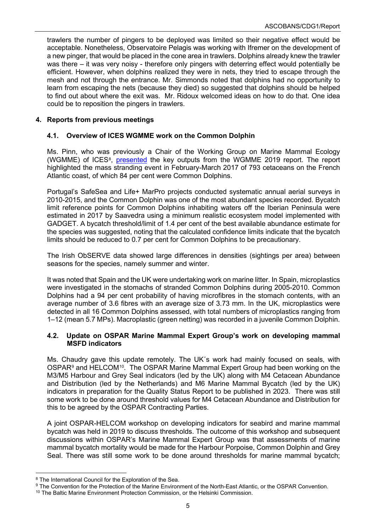trawlers the number of pingers to be deployed was limited so their negative effect would be acceptable. Nonetheless, Observatoire Pelagis was working with Ifremer on the development of a new pinger, that would be placed in the cone area in trawlers. Dolphins already knew the trawler was there – it was very noisy - therefore only pingers with deterring effect would potentially be efficient. However, when dolphins realized they were in nets, they tried to escape through the mesh and not through the entrance. Mr. Simmonds noted that dolphins had no opportunity to learn from escaping the nets (because they died) so suggested that dolphins should be helped to find out about where the exit was. Mr. Ridoux welcomed ideas on how to do that. One idea could be to reposition the pingers in trawlers.

#### <span id="page-6-0"></span>**4. Reports from previous meetings**

## <span id="page-6-1"></span>**4.1. Overview of ICES WGMME work on the Common Dolphin**

Ms. Pinn, who was previously a Chair of the Working Group on Marine Mammal Ecology (WGMME) of ICES<sup>8</sup>, [presented](https://www.ascobans.org/en/document/key-outputs-wgmme-2019-relating-common-dolphins) the key outputs from the WGMME 2019 report. The report highlighted the mass stranding event in February-March 2017 of 793 cetaceans on the French Atlantic coast, of which 84 per cent were Common Dolphins.

Portugal's SafeSea and Life+ MarPro projects conducted systematic annual aerial surveys in 2010-2015, and the Common Dolphin was one of the most abundant species recorded. Bycatch limit reference points for Common Dolphins inhabiting waters off the Iberian Peninsula were estimated in 2017 by Saavedra using a minimum realistic ecosystem model implemented with GADGET. A bycatch threshold/limit of 1.4 per cent of the best available abundance estimate for the species was suggested, noting that the calculated confidence limits indicate that the bycatch limits should be reduced to 0.7 per cent for Common Dolphins to be precautionary.

The Irish ObSERVE data showed large differences in densities (sightings per area) between seasons for the species, namely summer and winter.

It was noted that Spain and the UK were undertaking work on marine litter. In Spain, microplastics were investigated in the stomachs of stranded Common Dolphins during 2005-2010. Common Dolphins had a 94 per cent probability of having microfibres in the stomach contents, with an average number of 3.6 fibres with an average size of 3.73 mm. In the UK, microplastics were detected in all 16 Common Dolphins assessed, with total numbers of microplastics ranging from 1–12 (mean 5.7 MPs). Macroplastic (green netting) was recorded in a juvenile Common Dolphin.

#### <span id="page-6-2"></span>**4.2. Update on OSPAR Marine Mammal Expert Group's work on developing mammal MSFD indicators**

Ms. Chaudry gave this update remotely. The UK´s work had mainly focused on seals, with OSPAR[9](#page-6-4) and HELCOM[10](#page-6-5). The OSPAR Marine Mammal Expert Group had been working on the M3/M5 Harbour and Grey Seal indicators (led by the UK) along with M4 Cetacean Abundance and Distribution (led by the Netherlands) and M6 Marine Mammal Bycatch (led by the UK) indicators in preparation for the Quality Status Report to be published in 2023. There was still some work to be done around threshold values for M4 Cetacean Abundance and Distribution for this to be agreed by the OSPAR Contracting Parties.

A joint OSPAR-HELCOM workshop on developing indicators for seabird and marine mammal bycatch was held in 2019 to discuss thresholds. The outcome of this workshop and subsequent discussions within OSPAR's Marine Mammal Expert Group was that assessments of marine mammal bycatch mortality would be made for the Harbour Porpoise, Common Dolphin and Grey Seal. There was still some work to be done around thresholds for marine mammal bycatch;

<span id="page-6-3"></span><sup>8</sup> The International Council for the Exploration of the Sea.

<span id="page-6-5"></span><span id="page-6-4"></span><sup>9</sup> The Convention for the Protection of the Marine Environment of the North-East Atlantic, or the OSPAR Convention. <sup>10</sup> The Baltic Marine Environment Protection Commission, or the Helsinki Commission.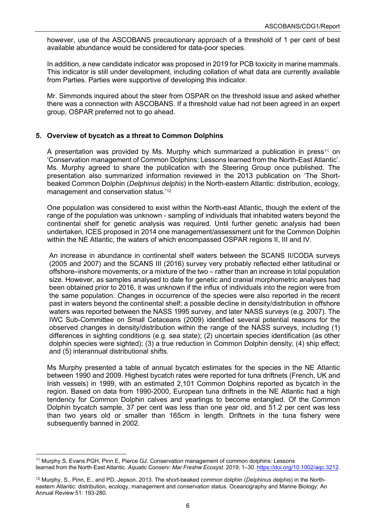however, use of the ASCOBANS precautionary approach of a threshold of 1 per cent of best available abundance would be considered for data-poor species*.*

In addition, a new candidate indicator was proposed in 2019 for PCB toxicity in marine mammals. This indicator is still under development, including collation of what data are currently available from Parties. Parties were supportive of developing this indicator.

Mr. Simmonds inquired about the steer from OSPAR on the threshold issue and asked whether there was a connection with ASCOBANS. If a threshold value had not been agreed in an expert group, OSPAR preferred not to go ahead.

## <span id="page-7-0"></span>**5. Overview of bycatch as a threat to Common Dolphins**

A presentation was provided by Ms. Murphy which summarized a publication in press<sup>[11](#page-7-1)</sup> on 'Conservation management of Common Dolphins: Lessons learned from the North-East Atlantic'. Ms. Murphy agreed to share the publication with the Steering Group once published. The presentation also summarized information reviewed in the 2013 publication on 'The Shortbeaked Common Dolphin (*Delphinus delphis*) in the North-eastern Atlantic: distribution, ecology, management and conservation status.' [12](#page-7-2)

One population was considered to exist within the North-east Atlantic, though the extent of the range of the population was unknown - sampling of individuals that inhabited waters beyond the continental shelf for genetic analysis was required. Until further genetic analysis had been undertaken, ICES proposed in 2014 one management/assessment unit for the Common Dolphin within the NE Atlantic, the waters of which encompassed OSPAR regions II, III and IV.

An increase in abundance in continental shelf waters between the SCANS II/CODA surveys (2005 and 2007) and the SCANS III (2016) survey very probably reflected either latitudinal or offshore–inshore movements, or a mixture of the two – rather than an increase in total population size. However, as samples analysed to date for genetic and cranial morphometric analyses had been obtained prior to 2016, it was unknown if the influx of individuals into the region were from the same population. Changes in occurrence of the species were also reported in the recent past in waters beyond the continental shelf; a possible decline in density/distribution in offshore waters was reported between the NASS 1995 survey, and later NASS surveys (e.g. 2007). The IWC Sub-Committee on Small Cetaceans (2009) identified several potential reasons for the observed changes in density/distribution within the range of the NASS surveys, including (1) differences in sighting conditions (e.g. sea state); (2) uncertain species identification (as other dolphin species were sighted); (3) a true reduction in Common Dolphin density; (4) ship effect; and (5) interannual distributional shifts.

Ms Murphy presented a table of annual bycatch estimates for the species in the NE Atlantic between 1990 and 2009. Highest bycatch rates were reported for tuna driftnets (French, UK and Irish vessels) in 1999, with an estimated 2,101 Common Dolphins reported as bycatch in the region. Based on data from 1990-2000, European tuna driftnets in the NE Atlantic had a high tendency for Common Dolphin calves and yearlings to become entangled. Of the Common Dolphin bycatch sample, 37 per cent was less than one year old, and 51.2 per cent was less than two years old or smaller than 165cm in length. Driftnets in the tuna fishery were subsequently banned in 2002.

<span id="page-7-1"></span><sup>11</sup> Murphy S, Evans PGH, Pinn E, Pierce GJ. Conservation management of common dolphins: Lessons learned from the North‐East Atlantic. *Aquatic Conserv: Mar Freshw Ecosyst*. 2019; 1–30. [https://doi.org/10.1002/aqc.3212.](about:blank)

<span id="page-7-2"></span><sup>12</sup> Murphy, S., Pinn, E., and PD. Jepson. 2013. The short-beaked common dolphin (*Delphinus delphis*) in the Northeastern Atlantic: distribution, ecology, management and conservation status. Oceanography and Marine Biology: An Annual Review 51: 193-280.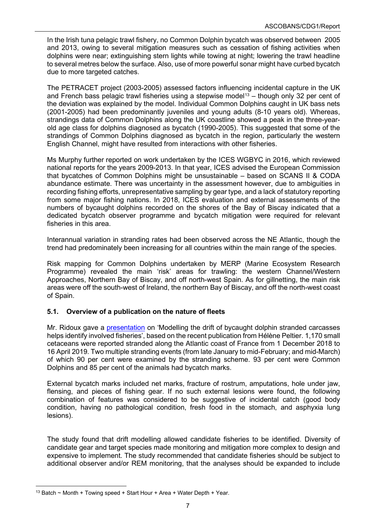In the Irish tuna pelagic trawl fishery, no Common Dolphin bycatch was observed between 2005 and 2013, owing to several mitigation measures such as cessation of fishing activities when dolphins were near; extinguishing stern lights while towing at night; lowering the trawl headline to several metres below the surface. Also, use of more powerful sonar might have curbed bycatch due to more targeted catches.

The PETRACET project (2003-2005) assessed factors influencing incidental capture in the UK and French bass pelagic trawl fisheries using a stepwise model<sup>[13](#page-8-1)</sup> – though only 32 per cent of the deviation was explained by the model. Individual Common Dolphins caught in UK bass nets (2001-2005) had been predominantly juveniles and young adults (8-10 years old). Whereas, strandings data of Common Dolphins along the UK coastline showed a peak in the three-yearold age class for dolphins diagnosed as bycatch (1990-2005). This suggested that some of the strandings of Common Dolphins diagnosed as bycatch in the region, particularly the western English Channel, might have resulted from interactions with other fisheries.

Ms Murphy further reported on work undertaken by the ICES WGBYC in 2016, which reviewed national reports for the years 2009-2013. In that year, ICES advised the European Commission that bycatches of Common Dolphins might be unsustainable – based on SCANS II & CODA abundance estimate. There was uncertainty in the assessment however, due to ambiguities in recording fishing efforts, unrepresentative sampling by gear type, and a lack of statutory reporting from some major fishing nations. In 2018, ICES evaluation and external assessments of the numbers of bycaught dolphins recorded on the shores of the Bay of Biscay indicated that a dedicated bycatch observer programme and bycatch mitigation were required for relevant fisheries in this area.

Interannual variation in stranding rates had been observed across the NE Atlantic, though the trend had predominately been increasing for all countries within the main range of the species.

Risk mapping for Common Dolphins undertaken by MERP (Marine Ecosystem Research Programme) revealed the main 'risk' areas for trawling: the western Channel/Western Approaches, Northern Bay of Biscay, and off north-west Spain. As for gillnetting, the main risk areas were off the south-west of Ireland, the northern Bay of Biscay, and off the north-west coast of Spain.

## <span id="page-8-0"></span>**5.1. Overview of a publication on the nature of fleets**

Mr. Ridoux gave a [presentation](https://www.ascobans.org/en/document/modelling-drift-bycaught-dolphin-stranded-carcasses-helps-identify-involved-fisheries) on 'Modelling the drift of bycaught dolphin stranded carcasses helps identify involved fisheries', based on the recent publication from Hélène Peltier. 1,170 small cetaceans were reported stranded along the Atlantic coast of France from 1 December 2018 to 16 April 2019. Two multiple stranding events (from late January to mid-February; and mid-March) of which 90 per cent were examined by the stranding scheme. 93 per cent were Common Dolphins and 85 per cent of the animals had bycatch marks.

External bycatch marks included net marks, fracture of rostrum, amputations, hole under jaw, flensing, and pieces of fishing gear. If no such external lesions were found, the following combination of features was considered to be suggestive of incidental catch (good body condition, having no pathological condition, fresh food in the stomach, and asphyxia lung lesions).

The study found that drift modelling allowed candidate fisheries to be identified. Diversity of candidate gear and target species made monitoring and mitigation more complex to design and expensive to implement. The study recommended that candidate fisheries should be subject to additional observer and/or REM monitoring, that the analyses should be expanded to include

<span id="page-8-1"></span><sup>&</sup>lt;sup>13</sup> Batch  $\sim$  Month + Towing speed + Start Hour + Area + Water Depth + Year.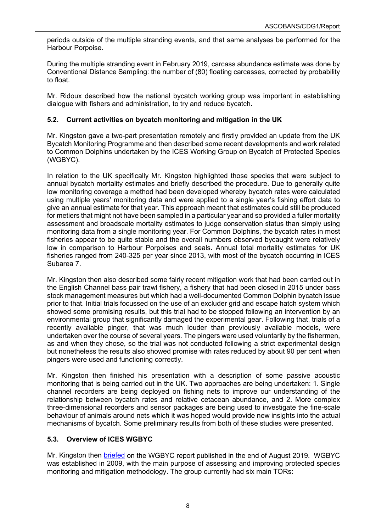periods outside of the multiple stranding events, and that same analyses be performed for the Harbour Porpoise.

During the multiple stranding event in February 2019, carcass abundance estimate was done by Conventional Distance Sampling: the number of (80) floating carcasses, corrected by probability to float.

Mr. Ridoux described how the national bycatch working group was important in establishing dialogue with fishers and administration, to try and reduce bycatch**.**

## <span id="page-9-0"></span>**5.2. Current activities on bycatch monitoring and mitigation in the UK**

Mr. Kingston gave a two-part presentation remotely and firstly provided an update from the UK Bycatch Monitoring Programme and then described some recent developments and work related to Common Dolphins undertaken by the ICES Working Group on Bycatch of Protected Species (WGBYC).

In relation to the UK specifically Mr. Kingston highlighted those species that were subject to annual bycatch mortality estimates and briefly described the procedure. Due to generally quite low monitoring coverage a method had been developed whereby bycatch rates were calculated using multiple years' monitoring data and were applied to a single year's fishing effort data to give an annual estimate for that year. This approach meant that estimates could still be produced for metiers that might not have been sampled in a particular year and so provided a fuller mortality assessment and broadscale mortality estimates to judge conservation status than simply using monitoring data from a single monitoring year. For Common Dolphins, the bycatch rates in most fisheries appear to be quite stable and the overall numbers observed bycaught were relatively low in comparison to Harbour Porpoises and seals. Annual total mortality estimates for UK fisheries ranged from 240-325 per year since 2013, with most of the bycatch occurring in ICES Subarea 7.

Mr. Kingston then also described some fairly recent mitigation work that had been carried out in the English Channel bass pair trawl fishery, a fishery that had been closed in 2015 under bass stock management measures but which had a well-documented Common Dolphin bycatch issue prior to that. Initial trials focussed on the use of an excluder grid and escape hatch system which showed some promising results, but this trial had to be stopped following an intervention by an environmental group that significantly damaged the experimental gear. Following that, trials of a recently available pinger, that was much louder than previously available models, were undertaken over the course of several years. The pingers were used voluntarily by the fishermen, as and when they chose, so the trial was not conducted following a strict experimental design but nonetheless the results also showed promise with rates reduced by about 90 per cent when pingers were used and functioning correctly.

Mr. Kingston then finished his presentation with a description of some passive acoustic monitoring that is being carried out in the UK. Two approaches are being undertaken: 1. Single channel recorders are being deployed on fishing nets to improve our understanding of the relationship between bycatch rates and relative cetacean abundance, and 2. More complex three-dimensional recorders and sensor packages are being used to investigate the fine-scale behaviour of animals around nets which it was hoped would provide new insights into the actual mechanisms of bycatch. Some preliminary results from both of these studies were presented.

## <span id="page-9-1"></span>**5.3. Overview of ICES WGBYC**

Mr. Kingston then [briefed](https://www.ascobans.org/en/document/update-uk-and-wgbyc) on the WGBYC report published in the end of August 2019. WGBYC was established in 2009, with the main purpose of assessing and improving protected species monitoring and mitigation methodology. The group currently had six main TORs: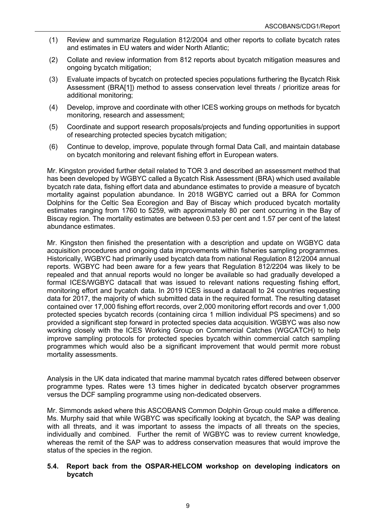- (1) Review and summarize Regulation 812/2004 and other reports to collate bycatch rates and estimates in EU waters and wider North Atlantic;
- (2) Collate and review information from 812 reports about bycatch mitigation measures and ongoing bycatch mitigation;
- (3) Evaluate impacts of bycatch on protected species populations furthering the Bycatch Risk Assessment (BRA[1]) method to assess conservation level threats / prioritize areas for additional monitoring;
- (4) Develop, improve and coordinate with other ICES working groups on methods for bycatch monitoring, research and assessment;
- (5) Coordinate and support research proposals/projects and funding opportunities in support of researching protected species bycatch mitigation;
- (6) Continue to develop, improve, populate through formal Data Call, and maintain database on bycatch monitoring and relevant fishing effort in European waters.

Mr. Kingston provided further detail related to TOR 3 and described an assessment method that has been developed by WGBYC called a Bycatch Risk Assessment (BRA) which used available bycatch rate data, fishing effort data and abundance estimates to provide a measure of bycatch mortality against population abundance. In 2018 WGBYC carried out a BRA for Common Dolphins for the Celtic Sea Ecoregion and Bay of Biscay which produced bycatch mortality estimates ranging from 1760 to 5259, with approximately 80 per cent occurring in the Bay of Biscay region. The mortality estimates are between 0.53 per cent and 1.57 per cent of the latest abundance estimates.

Mr. Kingston then finished the presentation with a description and update on WGBYC data acquisition procedures and ongoing data improvements within fisheries sampling programmes. Historically, WGBYC had primarily used bycatch data from national Regulation 812/2004 annual reports. WGBYC had been aware for a few years that Regulation 812/2204 was likely to be repealed and that annual reports would no longer be available so had gradually developed a formal ICES/WGBYC datacall that was issued to relevant nations requesting fishing effort, monitoring effort and bycatch data. In 2019 ICES issued a datacall to 24 countries requesting data for 2017, the majority of which submitted data in the required format. The resulting dataset contained over 17,000 fishing effort records, over 2,000 monitoring effort records and over 1,000 protected species bycatch records (containing circa 1 million individual PS specimens) and so provided a significant step forward in protected species data acquisition. WGBYC was also now working closely with the ICES Working Group on Commercial Catches (WGCATCH) to help improve sampling protocols for protected species bycatch within commercial catch sampling programmes which would also be a significant improvement that would permit more robust mortality assessments.

Analysis in the UK data indicated that marine mammal bycatch rates differed between observer programme types. Rates were 13 times higher in dedicated bycatch observer programmes versus the DCF sampling programme using non-dedicated observers.

Mr. Simmonds asked where this ASCOBANS Common Dolphin Group could make a difference. Ms. Murphy said that while WGBYC was specifically looking at bycatch, the SAP was dealing with all threats, and it was important to assess the impacts of all threats on the species, individually and combined. Further the remit of WGBYC was to review current knowledge, whereas the remit of the SAP was to address conservation measures that would improve the status of the species in the region.

## <span id="page-10-0"></span>**5.4. Report back from the OSPAR-HELCOM workshop on developing indicators on bycatch**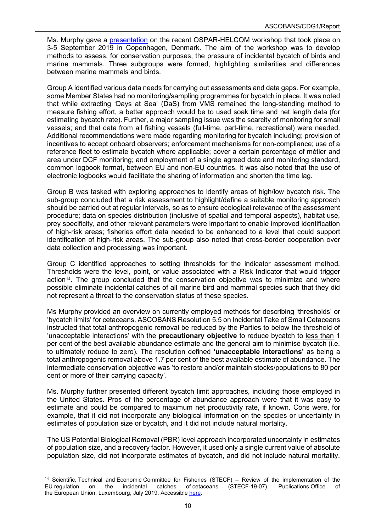Ms. Murphy gave a [presentation](https://www.ascobans.org/en/document/outcomes-ospar-helcom-workshop-examine-possibilities-developing-indicators-incidental) on the recent OSPAR-HELCOM workshop that took place on 3-5 September 2019 in Copenhagen, Denmark. The aim of the workshop was to develop methods to assess, for conservation purposes, the pressure of incidental bycatch of birds and marine mammals. Three subgroups were formed, highlighting similarities and differences between marine mammals and birds.

Group A identified various data needs for carrying out assessments and data gaps. For example, some Member States had no monitoring/sampling programmes for bycatch in place. It was noted that while extracting 'Days at Sea' (DaS) from VMS remained the long-standing method to measure fishing effort, a better approach would be to used soak time and net length data (for estimating bycatch rate). Further, a major sampling issue was the scarcity of monitoring for small vessels; and that data from all fishing vessels (full-time, part-time, recreational) were needed. Additional recommendations were made regarding monitoring for bycatch including; provision of incentives to accept onboard observers; enforcement mechanisms for non-compliance; use of a reference fleet to estimate bycatch where applicable; cover a certain percentage of métier and area under DCF monitoring; and employment of a single agreed data and monitoring standard, common logbook format, between EU and non-EU countries. It was also noted that the use of electronic logbooks would facilitate the sharing of information and shorten the time lag.

Group B was tasked with exploring approaches to identify areas of high/low bycatch risk. The sub-group concluded that a risk assessment to highlight/define a suitable monitoring approach should be carried out at regular intervals, so as to ensure ecological relevance of the assessment procedure; data on species distribution (inclusive of spatial and temporal aspects), habitat use, prey specificity, and other relevant parameters were important to enable improved identification of high-risk areas; fisheries effort data needed to be enhanced to a level that could support identification of high-risk areas. The sub-group also noted that cross-border cooperation over data collection and processing was important.

Group C identified approaches to setting thresholds for the indicator assessment method. Thresholds were the level, point, or value associated with a Risk Indicator that would trigger action<sup>14</sup>. The group concluded that the conservation objective was to minimize and where possible eliminate incidental catches of all marine bird and mammal species such that they did not represent a threat to the conservation status of these species.

Ms Murphy provided an overview on currently employed methods for describing 'thresholds' or 'bycatch limits' for cetaceans. ASCOBANS Resolution 5.5 on Incidental Take of Small Cetaceans instructed that total anthropogenic removal be reduced by the Parties to below the threshold of 'unacceptable interactions' with the **precautionary objective** to reduce bycatch to less than 1 per cent of the best available abundance estimate and the general aim to minimise bycatch (i.e. to ultimately reduce to zero). The resolution defined **'unacceptable interactions'** as being a total anthropogenic removal above 1.7 per cent of the best available estimate of abundance. The intermediate conservation objective was 'to restore and/or maintain stocks/populations to 80 per cent or more of their carrying capacity'.

Ms. Murphy further presented different bycatch limit approaches, including those employed in the United States. Pros of the percentage of abundance approach were that it was easy to estimate and could be compared to maximum net productivity rate, if known. Cons were, for example, that it did not incorporate any biological information on the species or uncertainty in estimates of population size or bycatch, and it did not include natural mortality.

The US Potential Biological Removal (PBR) level approach incorporated uncertainty in estimates of population size, and a recovery factor. However, it used only a single current value of absolute population size, did not incorporate estimates of bycatch, and did not include natural mortality.

<span id="page-11-0"></span><sup>&</sup>lt;sup>14</sup> Scientific, Technical and Economic Committee for Fisheries (STECF) – Review of the implementation of the incidental catches of cetaceans (STECF-19-07). Publications Office of EU regulation on the European Union, Luxembourg, July 2019. Accessible [here.](https://ec.europa.eu/jrc/en/publication/eur-scientific-and-technical-research-reports/scientific-technical-and-economic-committee-fisheries-stecf-review-implementation-eu)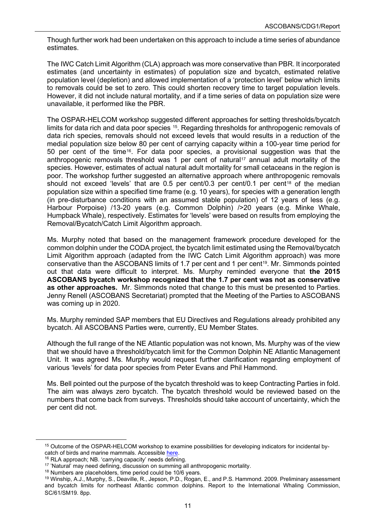Though further work had been undertaken on this approach to include a time series of abundance estimates.

The IWC Catch Limit Algorithm (CLA) approach was more conservative than PBR. It incorporated estimates (and uncertainty in estimates) of population size and bycatch, estimated relative population level (depletion) and allowed implementation of a 'protection level' below which limits to removals could be set to zero. This could shorten recovery time to target population levels. However, it did not include natural mortality, and if a time series of data on population size were unavailable, it performed like the PBR.

The OSPAR-HELCOM workshop suggested different approaches for setting thresholds/bycatch limits for data rich and data poor species <sup>15</sup>. Regarding thresholds for anthropogenic removals of data rich species, removals should not exceed levels that would results in a reduction of the medial population size below 80 per cent of carrying capacity within a 100-year time period for 50 per cent of the time[16.](#page-12-1) For data poor species, a provisional suggestion was that the anthropogenic removals threshold was 1 per cent of natural<sup>[17](#page-12-2)</sup> annual adult mortality of the species. However, estimates of actual natural adult mortality for small cetaceans in the region is poor. The workshop further suggested an alternative approach where anthropogenic removals should not exceed 'levels' that are  $0.5$  per cent/ $0.3$  per cent/ $0.1$  per cent<sup>[18](#page-12-3)</sup> of the median population size within a specified time frame (e.g. 10 years), for species with a generation length (in pre-disturbance conditions with an assumed stable population) of 12 years of less (e.g. Harbour Porpoise) /13-20 years (e.g. Common Dolphin) />20 years (e.g. Minke Whale, Humpback Whale), respectively. Estimates for 'levels' were based on results from employing the Removal/Bycatch/Catch Limit Algorithm approach.

Ms. Murphy noted that based on the management framework procedure developed for the common dolphin under the CODA project, the bycatch limit estimated using the Removal/bycatch Limit Algorithm approach (adapted from the IWC Catch Limit Algorithm approach) was more conservative than the ASCOBANS limits of 1.7 per cent and 1 per cent[19](#page-12-4). Mr. Simmonds pointed out that data were difficult to interpret. Ms. Murphy reminded everyone that **the 2015 ASCOBANS bycatch workshop recognized that the 1.7 per cent was not as conservative as other approaches.** Mr. Simmonds noted that change to this must be presented to Parties. Jenny Renell (ASCOBANS Secretariat) prompted that the Meeting of the Parties to ASCOBANS was coming up in 2020.

Ms. Murphy reminded SAP members that EU Directives and Regulations already prohibited any bycatch. All ASCOBANS Parties were, currently, EU Member States.

Although the full range of the NE Atlantic population was not known, Ms. Murphy was of the view that we should have a threshold/bycatch limit for the Common Dolphin NE Atlantic Management Unit. It was agreed Ms. Murphy would request further clarification regarding employment of various 'levels' for data poor species from Peter Evans and Phil Hammond.

Ms. Bell pointed out the purpose of the bycatch threshold was to keep Contracting Parties in fold. The aim was always zero bycatch. The bycatch threshold would be reviewed based on the numbers that come back from surveys. Thresholds should take account of uncertainty, which the per cent did not.

<span id="page-12-3"></span><sup>18</sup> Numbers are placeholders, time period could be 10/6 years.

<span id="page-12-0"></span><sup>15</sup> Outcome of the OSPAR-HELCOM workshop to examine possibilities for developing indicators for incidental bycatch of birds and marine mammals. Accessible [here.](https://portal.helcom.fi/meetings/Incidental%20bycatch%20WS%201-2019-647/MeetingDocuments/Outcome%20OSPAR-HELCOM%20incidental%20by-catch%20indicator%20workshop_final.pdf)

<span id="page-12-1"></span><sup>16</sup> RLA approach; NB. 'carrying capacity' needs defining.

<span id="page-12-2"></span><sup>17</sup> 'Natural' may need defining, discussion on summing all anthropogenic mortality.

<span id="page-12-4"></span><sup>19</sup> Winship, A.J., Murphy, S., Deaville, R., Jepson, P.D., Rogan, E., and P.S. Hammond. 2009. Preliminary assessment and bycatch limits for northeast Atlantic common dolphins. Report to the International Whaling Commission, SC/61/SM19. 8pp.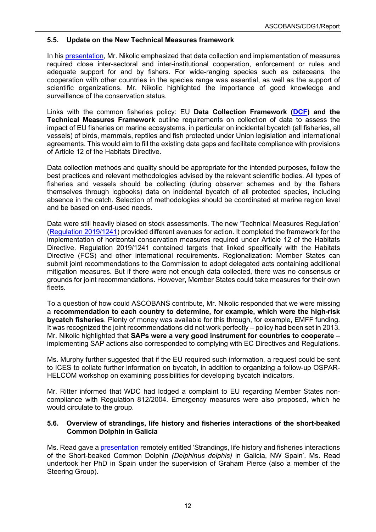## <span id="page-13-0"></span>**5.5. Update on the New Technical Measures framework**

In his [presentation,](https://www.ascobans.org/en/document/update-implementation-habitats-directive-and-actions-european-commission-relevant-common) Mr. Nikolic emphasized that data collection and implementation of measures required close inter-sectoral and inter-institutional cooperation, enforcement or rules and adequate support for and by fishers. For wide-ranging species such as cetaceans, the cooperation with other countries in the species range was essential, as well as the support of scientific organizations. Mr. Nikolic highlighted the importance of good knowledge and surveillance of the conservation status.

Links with the common fisheries policy: EU **Data Collection Framework [\(DCF\)](http://eur-lex.europa.eu/legal-content/EN/TXT/?uri=CELEX:32017R1004) and the Technical Measures Framework** outline requirements on collection of data to assess the impact of EU fisheries on marine ecosystems, in particular on incidental bycatch (all fisheries, all vessels) of birds, mammals, reptiles and fish protected under Union legislation and international agreements. This would aim to fill the existing data gaps and facilitate compliance with provisions of Article 12 of the Habitats Directive.

Data collection methods and quality should be appropriate for the intended purposes, follow the best practices and relevant methodologies advised by the relevant scientific bodies. All types of fisheries and vessels should be collecting (during observer schemes and by the fishers themselves through logbooks) data on incidental bycatch of all protected species, including absence in the catch. Selection of methodologies should be coordinated at marine region level and be based on end-used needs.

Data were still heavily biased on stock assessments. The new 'Technical Measures Regulation' [\(Regulation](https://eur-lex.europa.eu/legal-content/EN/TXT/?qid=1567170923245&uri=CELEX:32019R1241) 2019/1241) provided different avenues for action. It completed the framework for the implementation of horizontal conservation measures required under Article 12 of the Habitats Directive. Regulation 2019/1241 contained targets that linked specifically with the Habitats Directive (FCS) and other international requirements. Regionalization: Member States can submit joint recommendations to the Commission to adopt delegated acts containing additional mitigation measures. But if there were not enough data collected, there was no consensus or grounds for joint recommendations. However, Member States could take measures for their own fleets.

To a question of how could ASCOBANS contribute, Mr. Nikolic responded that we were missing a **recommendation to each country to determine, for example, which were the high-risk bycatch fisheries**. Plenty of money was available for this through, for example, EMFF funding. It was recognized the joint recommendations did not work perfectly – policy had been set in 2013. Mr. Nikolic highlighted that **SAPs were a very good instrument for countries to cooperate** – implementing SAP actions also corresponded to complying with EC Directives and Regulations.

Ms. Murphy further suggested that if the EU required such information, a request could be sent to ICES to collate further information on bycatch, in addition to organizing a follow-up OSPAR-HELCOM workshop on examining possibilities for developing bycatch indicators.

Mr. Ritter informed that WDC had lodged a complaint to EU regarding Member States noncompliance with Regulation 812/2004. Emergency measures were also proposed, which he would circulate to the group.

## <span id="page-13-1"></span>**5.6. Overview of strandings, life history and fisheries interactions of the short-beaked Common Dolphin in Galicia**

Ms. Read gave a [presentation](https://www.ascobans.org/en/document/strandings-life-history-and-fisheries-interactions-short-beaked-common-dolphin-delphinus) remotely entitled 'Strandings, life history and fisheries interactions of the Short-beaked Common Dolphin *(Delphinus delphis)* in Galicia, NW Spain'. Ms. Read undertook her PhD in Spain under the supervision of Graham Pierce (also a member of the Steering Group).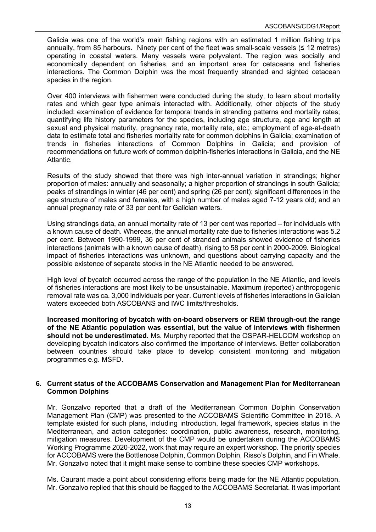Galicia was one of the world's main fishing regions with an estimated 1 million fishing trips annually, from 85 harbours. Ninety per cent of the fleet was small-scale vessels ( $\leq 12$  metres) operating in coastal waters. Many vessels were polyvalent. The region was socially and economically dependent on fisheries, and an important area for cetaceans and fisheries interactions. The Common Dolphin was the most frequently stranded and sighted cetacean species in the region.

Over 400 interviews with fishermen were conducted during the study, to learn about mortality rates and which gear type animals interacted with. Additionally, other objects of the study included: examination of evidence for temporal trends in stranding patterns and mortality rates; quantifying life history parameters for the species, including age structure, age and length at sexual and physical maturity, pregnancy rate, mortality rate, etc.; employment of age-at-death data to estimate total and fisheries mortality rate for common dolphins in Galicia; examination of trends in fisheries interactions of Common Dolphins in Galicia; and provision of recommendations on future work of common dolphin-fisheries interactions in Galicia, and the NE Atlantic.

Results of the study showed that there was high inter-annual variation in strandings; higher proportion of males: annually and seasonally; a higher proportion of strandings in south Galicia; peaks of strandings in winter (46 per cent) and spring (26 per cent); significant differences in the age structure of males and females, with a high number of males aged 7-12 years old; and an annual pregnancy rate of 33 per cent for Galician waters.

Using strandings data, an annual mortality rate of 13 per cent was reported – for individuals with a known cause of death. Whereas, the annual mortality rate due to fisheries interactions was 5.2 per cent. Between 1990-1999, 36 per cent of stranded animals showed evidence of fisheries interactions (animals with a known cause of death), rising to 58 per cent in 2000-2009. Biological impact of fisheries interactions was unknown, and questions about carrying capacity and the possible existence of separate stocks in the NE Atlantic needed to be answered.

High level of bycatch occurred across the range of the population in the NE Atlantic, and levels of fisheries interactions are most likely to be unsustainable. Maximum (reported) anthropogenic removal rate was ca. 3,000 individuals per year. Current levels of fisheries interactions in Galician waters exceeded both ASCOBANS and IWC limits/thresholds.

**Increased monitoring of bycatch with on-board observers or REM through-out the range of the NE Atlantic population was essential, but the value of interviews with fishermen should not be underestimated.** Ms. Murphy reported that the OSPAR-HELCOM workshop on developing bycatch indicators also confirmed the importance of interviews. Better collaboration between countries should take place to develop consistent monitoring and mitigation programmes e.g. MSFD.

#### <span id="page-14-0"></span>**6. Current status of the ACCOBAMS Conservation and Management Plan for Mediterranean Common Dolphins**

Mr. Gonzalvo reported that a draft of the Mediterranean Common Dolphin Conservation Management Plan (CMP) was presented to the ACCOBAMS Scientific Committee in 2018. A template existed for such plans, including introduction, legal framework, species status in the Mediterranean, and action categories: coordination, public awareness, research, monitoring, mitigation measures. Development of the CMP would be undertaken during the ACCOBAMS Working Programme 2020-2022, work that may require an expert workshop. The priority species for ACCOBAMS were the Bottlenose Dolphin, Common Dolphin, Risso's Dolphin, and Fin Whale. Mr. Gonzalvo noted that it might make sense to combine these species CMP workshops.

Ms. Caurant made a point about considering efforts being made for the NE Atlantic population. Mr. Gonzalvo replied that this should be flagged to the ACCOBAMS Secretariat. It was important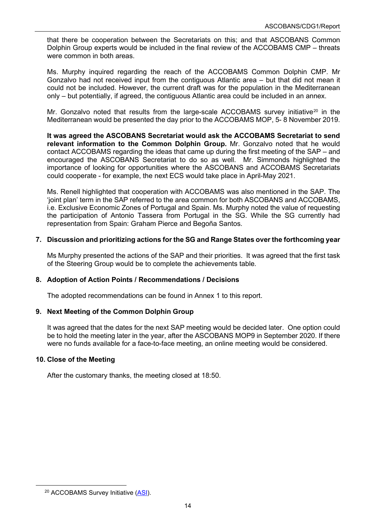that there be cooperation between the Secretariats on this; and that ASCOBANS Common Dolphin Group experts would be included in the final review of the ACCOBAMS CMP – threats were common in both areas.

Ms. Murphy inquired regarding the reach of the ACCOBAMS Common Dolphin CMP. Mr Gonzalvo had not received input from the contiguous Atlantic area – but that did not mean it could not be included. However, the current draft was for the population in the Mediterranean only – but potentially, if agreed, the contiguous Atlantic area could be included in an annex.

Mr. Gonzalvo noted that results from the large-scale ACCOBAMS survey initiative<sup>[20](#page-15-4)</sup> in the Mediterranean would be presented the day prior to the ACCOBAMS MOP, 5- 8 November 2019.

**It was agreed the ASCOBANS Secretariat would ask the ACCOBAMS Secretariat to send relevant information to the Common Dolphin Group.** Mr. Gonzalvo noted that he would contact ACCOBAMS regarding the ideas that came up during the first meeting of the SAP – and encouraged the ASCOBANS Secretariat to do so as well. Mr. Simmonds highlighted the importance of looking for opportunities where the ASCOBANS and ACCOBAMS Secretariats could cooperate - for example, the next ECS would take place in April-May 2021.

Ms. Renell highlighted that cooperation with ACCOBAMS was also mentioned in the SAP. The 'joint plan' term in the SAP referred to the area common for both ASCOBANS and ACCOBAMS, i.e. Exclusive Economic Zones of Portugal and Spain. Ms. Murphy noted the value of requesting the participation of Antonio Tassera from Portugal in the SG. While the SG currently had representation from Spain: Graham Pierce and Begoña Santos.

## <span id="page-15-0"></span>**7. Discussion and prioritizing actions for the SG and Range States over the forthcoming year**

Ms Murphy presented the actions of the SAP and their priorities. It was agreed that the first task of the Steering Group would be to complete the achievements table.

## <span id="page-15-1"></span>**8. Adoption of Action Points / Recommendations / Decisions**

The adopted recommendations can be found in Annex 1 to this report.

## <span id="page-15-2"></span>**9. Next Meeting of the Common Dolphin Group**

It was agreed that the dates for the next SAP meeting would be decided later. One option could be to hold the meeting later in the year, after the ASCOBANS MOP9 in September 2020. If there were no funds available for a face-to-face meeting, an online meeting would be considered.

## <span id="page-15-3"></span>**10. Close of the Meeting**

After the customary thanks, the meeting closed at 18:50.

<span id="page-15-4"></span><sup>&</sup>lt;sup>20</sup> ACCOBAMS Survey Initiative [\(ASI\)](about:blank).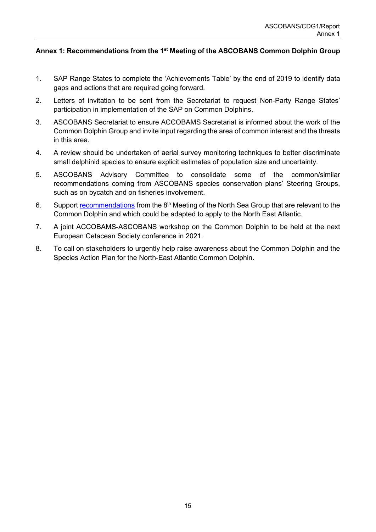## <span id="page-16-0"></span>**Annex 1: Recommendations from the 1st Meeting of the ASCOBANS Common Dolphin Group**

- 1. SAP Range States to complete the 'Achievements Table' by the end of 2019 to identify data gaps and actions that are required going forward.
- 2. Letters of invitation to be sent from the Secretariat to request Non-Party Range States' participation in implementation of the SAP on Common Dolphins.
- 3. ASCOBANS Secretariat to ensure ACCOBAMS Secretariat is informed about the work of the Common Dolphin Group and invite input regarding the area of common interest and the threats in this area.
- 4. A review should be undertaken of aerial survey monitoring techniques to better discriminate small delphinid species to ensure explicit estimates of population size and uncertainty.
- 5. ASCOBANS Advisory Committee to consolidate some of the common/similar recommendations coming from ASCOBANS species conservation plans' Steering Groups, such as on bycatch and on fisheries involvement.
- 6. Support [recommendations](https://www.ascobans.org/en/document/priority-recommendations-nsg8) from the 8<sup>th</sup> Meeting of the North Sea Group that are relevant to the Common Dolphin and which could be adapted to apply to the North East Atlantic.
- 7. A joint ACCOBAMS-ASCOBANS workshop on the Common Dolphin to be held at the next European Cetacean Society conference in 2021.
- 8. To call on stakeholders to urgently help raise awareness about the Common Dolphin and the Species Action Plan for the North-East Atlantic Common Dolphin.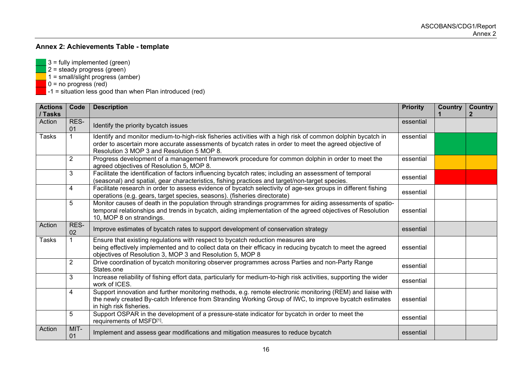# **Annex 2: Achievements Table - template**

- $3 =$  fully implemented (green)
- \_\_\_ 2 = steady progress (green)
- \_\_\_ 1 = small/slight progress (amber)
- **\_\_\_** 0 = no progress (red)
- \_\_\_ -1 = situation less good than when Plan introduced (red)

<span id="page-17-0"></span>

| <b>Actions</b><br>/ Tasks | Code           | <b>Description</b>                                                                                                                                                                                                                                                  | <b>Priority</b> | <b>Country</b> | <b>Country</b> |
|---------------------------|----------------|---------------------------------------------------------------------------------------------------------------------------------------------------------------------------------------------------------------------------------------------------------------------|-----------------|----------------|----------------|
| Action                    | RES-<br>01     | Identify the priority bycatch issues                                                                                                                                                                                                                                | essential       |                |                |
| <b>Tasks</b>              |                | Identify and monitor medium-to-high-risk fisheries activities with a high risk of common dolphin bycatch in<br>order to ascertain more accurate assessments of bycatch rates in order to meet the agreed objective of<br>Resolution 3 MOP 3 and Resolution 5 MOP 8. | essential       |                |                |
|                           | $\overline{2}$ | Progress development of a management framework procedure for common dolphin in order to meet the<br>agreed objectives of Resolution 5, MOP 8.                                                                                                                       | essential       |                |                |
|                           | 3              | Facilitate the identification of factors influencing bycatch rates; including an assessment of temporal<br>(seasonal) and spatial, gear characteristics, fishing practices and target/non-target species.                                                           | essential       |                |                |
|                           | 4              | Facilitate research in order to assess evidence of bycatch selectivity of age-sex groups in different fishing<br>operations (e.g. gears, target species, seasons). (fisheries directorate)                                                                          | essential       |                |                |
|                           | 5              | Monitor causes of death in the population through strandings programmes for aiding assessments of spatio-<br>temporal relationships and trends in bycatch, aiding implementation of the agreed objectives of Resolution<br>10, MOP 8 on strandings.                 | essential       |                |                |
| Action                    | RES-<br>02     | Improve estimates of bycatch rates to support development of conservation strategy                                                                                                                                                                                  | essential       |                |                |
| Tasks                     |                | Ensure that existing regulations with respect to bycatch reduction measures are<br>being effectively implemented and to collect data on their efficacy in reducing bycatch to meet the agreed<br>objectives of Resolution 3, MOP 3 and Resolution 5, MOP 8          | essential       |                |                |
|                           | $\overline{2}$ | Drive coordination of bycatch monitoring observer programmes across Parties and non-Party Range<br>States.one                                                                                                                                                       | essential       |                |                |
|                           | 3              | Increase reliability of fishing effort data, particularly for medium-to-high risk activities, supporting the wider<br>work of ICES.                                                                                                                                 | essential       |                |                |
|                           | 4              | Support innovation and further monitoring methods, e.g. remote electronic monitoring (REM) and liaise with<br>the newly created By-catch Inference from Stranding Working Group of IWC, to improve bycatch estimates<br>in high risk fisheries.                     | essential       |                |                |
|                           | 5              | Support OSPAR in the development of a pressure-state indicator for bycatch in order to meet the<br>requirements of MSFD[1].                                                                                                                                         | essential       |                |                |
| Action                    | MIT-<br>01     | Implement and assess gear modifications and mitigation measures to reduce bycatch                                                                                                                                                                                   | essential       |                |                |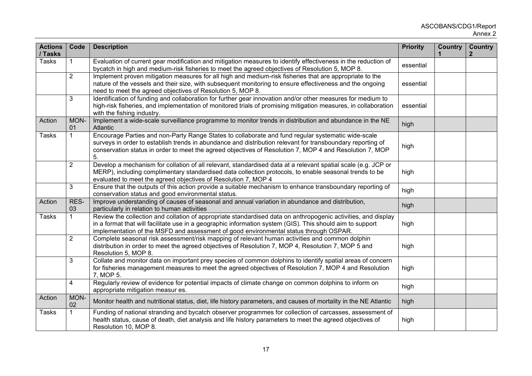| <b>Actions</b><br>/ Tasks | Code           | <b>Description</b>                                                                                                                                                                                                                                                                                                                | <b>Priority</b> | <b>Country</b> | <b>Country</b><br>$\mathbf{2}$ |
|---------------------------|----------------|-----------------------------------------------------------------------------------------------------------------------------------------------------------------------------------------------------------------------------------------------------------------------------------------------------------------------------------|-----------------|----------------|--------------------------------|
| <b>Tasks</b>              |                | Evaluation of current gear modification and mitigation measures to identify effectiveness in the reduction of<br>bycatch in high and medium-risk fisheries to meet the agreed objectives of Resolution 5, MOP 8.                                                                                                                  | essential       |                |                                |
|                           | $\overline{2}$ | Implement proven mitigation measures for all high and medium-risk fisheries that are appropriate to the<br>nature of the vessels and their size, with subsequent monitoring to ensure effectiveness and the ongoing<br>need to meet the agreed objectives of Resolution 5, MOP 8.                                                 | essential       |                |                                |
|                           | 3              | Identification of funding and collaboration for further gear innovation and/or other measures for medium to<br>high-risk fisheries, and implementation of monitored trials of promising mitigation measures, in collaboration<br>with the fishing industry.                                                                       | essential       |                |                                |
| Action                    | MON-<br>01     | Implement a wide-scale surveillance programme to monitor trends in distribution and abundance in the NE<br>Atlantic                                                                                                                                                                                                               | high            |                |                                |
| <b>Tasks</b>              | $\mathbf{1}$   | Encourage Parties and non-Party Range States to collaborate and fund regular systematic wide-scale<br>surveys in order to establish trends in abundance and distribution relevant for transboundary reporting of<br>conservation status in order to meet the agreed objectives of Resolution 7, MOP 4 and Resolution 7, MOP<br>5. | high            |                |                                |
|                           | $\overline{2}$ | Develop a mechanism for collation of all relevant, standardised data at a relevant spatial scale (e.g. JCP or<br>MERP), including complimentary standardised data collection protocols, to enable seasonal trends to be<br>evaluated to meet the agreed objectives of Resolution 7, MOP 4                                         | high            |                |                                |
|                           | $\overline{3}$ | Ensure that the outputs of this action provide a suitable mechanism to enhance transboundary reporting of<br>conservation status and good environmental status.                                                                                                                                                                   | high            |                |                                |
| Action                    | RES-<br>03     | Improve understanding of causes of seasonal and annual variation in abundance and distribution,<br>particularly in relation to human activities                                                                                                                                                                                   | high            |                |                                |
| <b>Tasks</b>              | $\mathbf{1}$   | Review the collection and collation of appropriate standardised data on anthropogenic activities, and display<br>in a format that will facilitate use in a geographic information system (GIS). This should aim to support<br>implementation of the MSFD and assessment of good environmental status through OSPAR.               | high            |                |                                |
|                           | $\overline{2}$ | Complete seasonal risk assessment/risk mapping of relevant human activities and common dolphin<br>distribution in order to meet the agreed objectives of Resolution 7, MOP 4, Resolution 7, MOP 5 and<br>Resolution 5, MOP 8.                                                                                                     | high            |                |                                |
|                           | 3              | Collate and monitor data on important prey species of common dolphins to identify spatial areas of concern<br>for fisheries management measures to meet the agreed objectives of Resolution 7, MOP 4 and Resolution<br>7, MOP 5.                                                                                                  | high            |                |                                |
|                           | $\overline{4}$ | Regularly review of evidence for potential impacts of climate change on common dolphins to inform on<br>appropriate mitigation measur es.                                                                                                                                                                                         | high            |                |                                |
| Action                    | MON-<br>02     | Monitor health and nutritional status, diet, life history parameters, and causes of mortality in the NE Atlantic                                                                                                                                                                                                                  | high            |                |                                |
| <b>Tasks</b>              | $\mathbf 1$    | Funding of national stranding and bycatch observer programmes for collection of carcasses, assessment of<br>health status, cause of death, diet analysis and life history parameters to meet the agreed objectives of<br>Resolution 10, MOP 8.                                                                                    | high            |                |                                |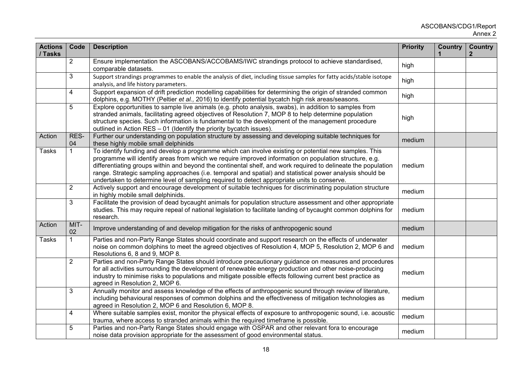| <b>Actions</b><br>/ Tasks | Code            | <b>Description</b>                                                                                                                                                                                                                                                                                                                                                                                                                                                                                                                           | <b>Priority</b> | <b>Country</b> | <b>Country</b><br>2 |
|---------------------------|-----------------|----------------------------------------------------------------------------------------------------------------------------------------------------------------------------------------------------------------------------------------------------------------------------------------------------------------------------------------------------------------------------------------------------------------------------------------------------------------------------------------------------------------------------------------------|-----------------|----------------|---------------------|
|                           | $\overline{2}$  | Ensure implementation the ASCOBANS/ACCOBAMS/IWC strandings protocol to achieve standardised,<br>comparable datasets.                                                                                                                                                                                                                                                                                                                                                                                                                         | high            |                |                     |
|                           | 3               | Support strandings programmes to enable the analysis of diet, including tissue samples for fatty acids/stable isotope<br>analysis, and life history parameters.                                                                                                                                                                                                                                                                                                                                                                              | high            |                |                     |
|                           | $\overline{4}$  | Support expansion of drift prediction modelling capabilities for determining the origin of stranded common<br>dolphins, e.g. MOTHY (Peltier et al., 2016) to identify potential bycatch high risk areas/seasons.                                                                                                                                                                                                                                                                                                                             | high            |                |                     |
|                           | 5               | Explore opportunities to sample live animals (e.g. photo analysis, swabs), in addition to samples from<br>stranded animals, facilitating agreed objectives of Resolution 7, MOP 8 to help determine population<br>structure species. Such information is fundamental to the development of the management procedure<br>outlined in Action RES - 01 (Identify the priority bycatch issues).                                                                                                                                                   | high            |                |                     |
| Action                    | RES-<br>04      | Further our understanding on population structure by assessing and developing suitable techniques for<br>these highly mobile small delphinids                                                                                                                                                                                                                                                                                                                                                                                                | medium          |                |                     |
| <b>Tasks</b>              |                 | To identify funding and develop a programme which can involve existing or potential new samples. This<br>programme will identify areas from which we require improved information on population structure, e.g.<br>differentiating groups within and beyond the continental shelf, and work required to delineate the population<br>range. Strategic sampling approaches (i.e. temporal and spatial) and statistical power analysis should be<br>undertaken to determine level of sampling required to detect appropriate units to conserve. | medium          |                |                     |
|                           | $\overline{2}$  | Actively support and encourage development of suitable techniques for discriminating population structure<br>in highly mobile small delphinids.                                                                                                                                                                                                                                                                                                                                                                                              | medium          |                |                     |
|                           | 3               | Facilitate the provision of dead bycaught animals for population structure assessment and other appropriate<br>studies. This may require repeal of national legislation to facilitate landing of bycaught common dolphins for<br>research.                                                                                                                                                                                                                                                                                                   | medium          |                |                     |
| Action                    | MIT-<br>02      | Improve understanding of and develop mitigation for the risks of anthropogenic sound                                                                                                                                                                                                                                                                                                                                                                                                                                                         | medium          |                |                     |
| <b>Tasks</b>              | $\mathbf{1}$    | Parties and non-Party Range States should coordinate and support research on the effects of underwater<br>noise on common dolphins to meet the agreed objectives of Resolution 4, MOP 5, Resolution 2, MOP 6 and<br>Resolutions 6, 8 and 9, MOP 8.                                                                                                                                                                                                                                                                                           | medium          |                |                     |
|                           | $\overline{2}$  | Parties and non-Party Range States should introduce precautionary guidance on measures and procedures<br>for all activities surrounding the development of renewable energy production and other noise-producing<br>industry to minimise risks to populations and mitigate possible effects following current best practice as<br>agreed in Resolution 2, MOP 6.                                                                                                                                                                             | medium          |                |                     |
|                           | $3\overline{3}$ | Annually monitor and assess knowledge of the effects of anthropogenic sound through review of literature,<br>including behavioural responses of common dolphins and the effectiveness of mitigation technologies as<br>agreed in Resolution 2, MOP 6 and Resolution 6, MOP 8.                                                                                                                                                                                                                                                                | medium          |                |                     |
|                           | $\overline{4}$  | Where suitable samples exist, monitor the physical effects of exposure to anthropogenic sound, i.e. acoustic<br>trauma, where access to stranded animals within the required timeframe is possible.                                                                                                                                                                                                                                                                                                                                          | medium          |                |                     |
|                           | 5               | Parties and non-Party Range States should engage with OSPAR and other relevant fora to encourage<br>noise data provision appropriate for the assessment of good environmental status.                                                                                                                                                                                                                                                                                                                                                        | medium          |                |                     |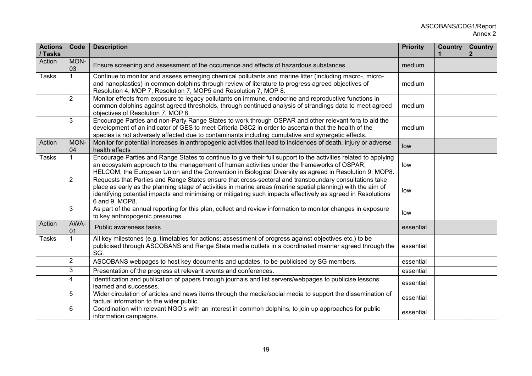| <b>Actions</b><br>/ Tasks | Code           | <b>Description</b>                                                                                                                                                                                                                                                                                                                                       | <b>Priority</b> | <b>Country</b> | <b>Country</b> |
|---------------------------|----------------|----------------------------------------------------------------------------------------------------------------------------------------------------------------------------------------------------------------------------------------------------------------------------------------------------------------------------------------------------------|-----------------|----------------|----------------|
| Action                    | MON-<br>03     | Ensure screening and assessment of the occurrence and effects of hazardous substances                                                                                                                                                                                                                                                                    | medium          |                |                |
| <b>Tasks</b>              | $\mathbf{1}$   | Continue to monitor and assess emerging chemical pollutants and marine litter (including macro-, micro-<br>and nanoplastics) in common dolphins through review of literature to progress agreed objectives of<br>Resolution 4, MOP 7, Resolution 7, MOP5 and Resolution 7, MOP 8.                                                                        | medium          |                |                |
|                           | $\overline{2}$ | Monitor effects from exposure to legacy pollutants on immune, endocrine and reproductive functions in<br>common dolphins against agreed thresholds, through continued analysis of strandings data to meet agreed<br>objectives of Resolution 7, MOP 8.                                                                                                   | medium          |                |                |
|                           | 3              | Encourage Parties and non-Party Range States to work through OSPAR and other relevant fora to aid the<br>development of an indicator of GES to meet Criteria D8C2 in order to ascertain that the health of the<br>species is not adversely affected due to contaminants including cumulative and synergetic effects.                                     | medium          |                |                |
| Action                    | MON-<br>04     | Monitor for potential increases in anthropogenic activities that lead to incidences of death, injury or adverse<br>health effects                                                                                                                                                                                                                        | low             |                |                |
| <b>Tasks</b>              | $\mathbf{1}$   | Encourage Parties and Range States to continue to give their full support to the activities related to applying<br>an ecosystem approach to the management of human activities under the frameworks of OSPAR,<br>HELCOM, the European Union and the Convention in Biological Diversity as agreed in Resolution 9, MOP8.                                  | low             |                |                |
|                           | $\overline{2}$ | Requests that Parties and Range States ensure that cross-sectoral and transboundary consultations take<br>place as early as the planning stage of activities in marine areas (marine spatial planning) with the aim of<br>identifying potential impacts and minimising or mitigating such impacts effectively as agreed in Resolutions<br>6 and 9, MOP8. | low             |                |                |
|                           | 3              | As part of the annual reporting for this plan, collect and review information to monitor changes in exposure<br>to key anthropogenic pressures.                                                                                                                                                                                                          | low             |                |                |
| Action                    | AWA-<br>01     | Public awareness tasks                                                                                                                                                                                                                                                                                                                                   | essential       |                |                |
| <b>Tasks</b>              |                | All key milestones (e.g. timetables for actions; assessment of progress against objectives etc.) to be<br>publicised through ASCOBANS and Range State media outlets in a coordinated manner agreed through the<br>SG.                                                                                                                                    | essential       |                |                |
|                           | $\overline{2}$ | ASCOBANS webpages to host key documents and updates, to be publicised by SG members.                                                                                                                                                                                                                                                                     | essential       |                |                |
|                           | 3              | Presentation of the progress at relevant events and conferences.                                                                                                                                                                                                                                                                                         | essential       |                |                |
|                           | $\overline{4}$ | Identification and publication of papers through journals and list servers/webpages to publicise lessons<br>learned and successes.                                                                                                                                                                                                                       | essential       |                |                |
|                           | 5              | Wider circulation of articles and news items through the media/social media to support the dissemination of<br>factual information to the wider public.                                                                                                                                                                                                  | essential       |                |                |
|                           | 6              | Coordination with relevant NGO's with an interest in common dolphins, to join up approaches for public<br>information campaigns.                                                                                                                                                                                                                         | essential       |                |                |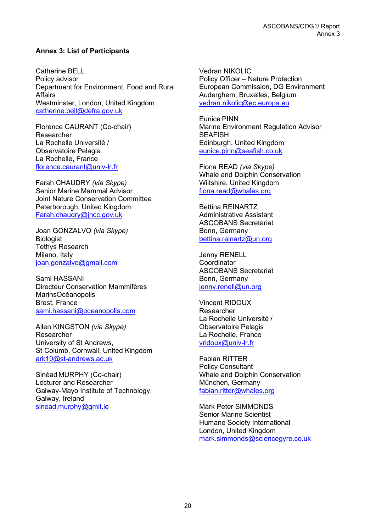## <span id="page-21-0"></span>**Annex 3: List of Participants**

Catherine BELL Policy advisor Department for Environment, Food and Rural Affairs Westminster, London, United Kingdom [catherine.bell@defra.gov.uk](mailto:catherine.bell@defra.gov.uk)

Florence CAURANT (Co-chair) Researcher La Rochelle Université / Observatoire Pelagis La Rochelle, France [florence.caurant@univ-lr.fr](mailto:florence.caurant@univ-lr.fr)

Farah CHAUDRY *(via Skype)* Senior Marine Mammal Advisor Joint Nature Conservation Committee Peterborough, United Kingdom [Farah.chaudry@jncc.gov.uk](mailto:Farah.chaudry@jncc.gov.uk)

Joan GONZALVO *(via Skype)* Biologist Tethys Research Milano, Italy [joan.gonzalvo@gmail.com](mailto:joan.gonzalvo@gmail.com)

Sami HASSANI Directeur Conservation Mammifères MarinsOcéanopolis Brest, France [sami.hassani@oceanopolis.com](mailto:sami.hassani@oceanopolis.com)

Allen KINGSTON *(via Skype)* Researcher University of St Andrews, St Columb, Cornwall, United Kingdom [ark10@st-andrews.ac.uk](mailto:ark10@st-andrews.ac.uk)

Sinéad MURPHY (Co-chair) Lecturer and Researcher Galway-Mayo Institute of Technology, Galway, Ireland [sinead.murphy@gmit.ie](mailto:sinead.murphy@gmit.ie)

Vedran NIKOLIC Policy Officer – Nature Protection European Commission, DG Environment Auderghem, Bruxelles, Belgium [vedran.nikolic@ec.europa.eu](mailto:vedran.nikolic@ec.europa.eu)

Eunice PINN Marine Environment Regulation Advisor **SEAFISH** Edinburgh, United Kingdom [eunice.pinn@seafish.co.uk](mailto:eunice.pinn@seafish.co.uk)

Fiona READ *(via Skype)* Whale and Dolphin Conservation Wiltshire, United Kingdom [fiona.read@whales.org](mailto:fiona.read@whales.org)

Bettina REINARTZ Administrative Assistant ASCOBANS Secretariat Bonn, Germany [bettina.reinartz@un.org](mailto:bettina.reinartz@un.org)

Jenny RENELL **Coordinator** ASCOBANS Secretariat Bonn, Germany [jenny.renell@un.org](mailto:jenny.renell@un.org)

Vincent RIDOUX Researcher La Rochelle Université / Observatoire Pelagis La Rochelle, France [vridoux@univ-lr.fr](mailto:vridoux@univ-lr.fr)

Fabian RITTER Policy Consultant Whale and Dolphin Conservation München, Germany [fabian.ritter@whales.org](mailto:fabian.ritter@whales.org) 

Mark Peter SIMMONDS Senior Marine Scientist Humane Society International London, United Kingdom [mark.simmonds@sciencegyre.co.uk](mailto:mark.simmonds@sciencegyre.co.uk)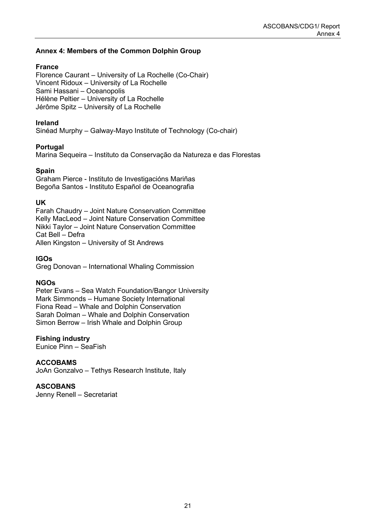## <span id="page-22-0"></span>**Annex 4: Members of the Common Dolphin Group**

## **France**

Florence Caurant – University of La Rochelle (Co-Chair) Vincent Ridoux – University of La Rochelle Sami Hassani – Oceanopolis Hélène Peltier – University of La Rochelle Jérôme Spitz – University of La Rochelle

## **Ireland**

Sinéad Murphy – Galway-Mayo Institute of Technology (Co-chair)

## **Portugal**

Marina Sequeira – Instituto da Conservação da Natureza e das Florestas

## **Spain**

Graham Pierce - Instituto de Investigacións Mariñas Begoña Santos - Instituto Español de Oceanografia

## **UK**

Farah Chaudry – Joint Nature Conservation Committee Kelly MacLeod – Joint Nature Conservation Committee Nikki Taylor – Joint Nature Conservation Committee Cat Bell – Defra Allen Kingston – University of St Andrews

**IGOs** 

Greg Donovan – International Whaling Commission

## **NGOs**

Peter Evans – Sea Watch Foundation/Bangor University Mark Simmonds – Humane Society International Fiona Read – Whale and Dolphin Conservation Sarah Dolman – Whale and Dolphin Conservation Simon Berrow – Irish Whale and Dolphin Group

## **Fishing industry**

Eunice Pinn – SeaFish

## **ACCOBAMS**

JoAn Gonzalvo – Tethys Research Institute, Italy

## **ASCOBANS**

Jenny Renell – Secretariat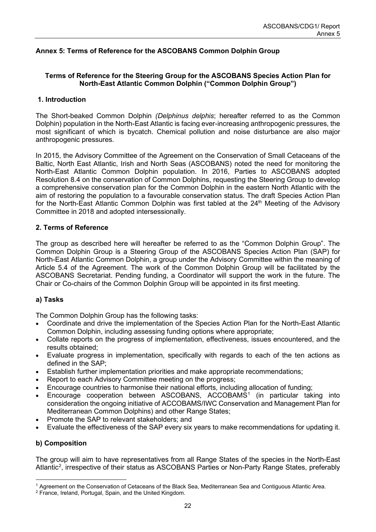## <span id="page-23-0"></span>**Annex 5: Terms of Reference for the ASCOBANS Common Dolphin Group**

## **Terms of Reference for the Steering Group for the ASCOBANS Species Action Plan for North-East Atlantic Common Dolphin ("Common Dolphin Group")**

## **1. Introduction**

The Short-beaked Common Dolphin *(Delphinus delphis*; hereafter referred to as the Common Dolphin) population in the North-East Atlantic is facing ever-increasing anthropogenic pressures, the most significant of which is bycatch. Chemical pollution and noise disturbance are also major anthropogenic pressures.

In 2015, the Advisory Committee of the Agreement on the Conservation of Small Cetaceans of the Baltic, North East Atlantic, Irish and North Seas (ASCOBANS) noted the need for monitoring the North-East Atlantic Common Dolphin population. In 2016, Parties to ASCOBANS adopted Resolution 8.4 on the conservation of Common Dolphins, requesting the Steering Group to develop a comprehensive conservation plan for the Common Dolphin in the eastern North Atlantic with the aim of restoring the population to a favourable conservation status. The draft Species Action Plan for the North-East Atlantic Common Dolphin was first tabled at the 24<sup>th</sup> Meeting of the Advisory Committee in 2018 and adopted intersessionally.

## **2. Terms of Reference**

The group as described here will hereafter be referred to as the "Common Dolphin Group". The Common Dolphin Group is a Steering Group of the ASCOBANS Species Action Plan (SAP) for North-East Atlantic Common Dolphin, a group under the Advisory Committee within the meaning of Article 5.4 of the Agreement. The work of the Common Dolphin Group will be facilitated by the ASCOBANS Secretariat. Pending funding, a Coordinator will support the work in the future. The Chair or Co-chairs of the Common Dolphin Group will be appointed in its first meeting.

## **a) Tasks**

The Common Dolphin Group has the following tasks:

- Coordinate and drive the implementation of the Species Action Plan for the North-East Atlantic Common Dolphin, including assessing funding options where appropriate;
- Collate reports on the progress of implementation, effectiveness, issues encountered, and the results obtained;
- Evaluate progress in implementation, specifically with regards to each of the ten actions as defined in the SAP;
- Establish further implementation priorities and make appropriate recommendations;
- Report to each Advisory Committee meeting on the progress;
- Encourage countries to harmonise their national efforts, including allocation of funding;
- Encourage cooperation between ASCOBANS, ACCOBAMS<sup>[1](#page-23-1)</sup> (in particular taking into consideration the ongoing initiative of ACCOBAMS/IWC Conservation and Management Plan for Mediterranean Common Dolphins) and other Range States;
- Promote the SAP to relevant stakeholders; and
- Evaluate the effectiveness of the SAP every six years to make recommendations for updating it.

## **b) Composition**

The group will aim to have representatives from all Range States of the species in the North-East Atlantic<sup>[2](#page-23-2)</sup>, irrespective of their status as ASCOBANS Parties or Non-Party Range States, preferably

<span id="page-23-1"></span><sup>1</sup> Agreement on the Conservation of Cetaceans of the Black Sea, Mediterranean Sea and Contiguous Atlantic Area.

<span id="page-23-2"></span><sup>2</sup> France, Ireland, Portugal, Spain, and the United Kingdom.